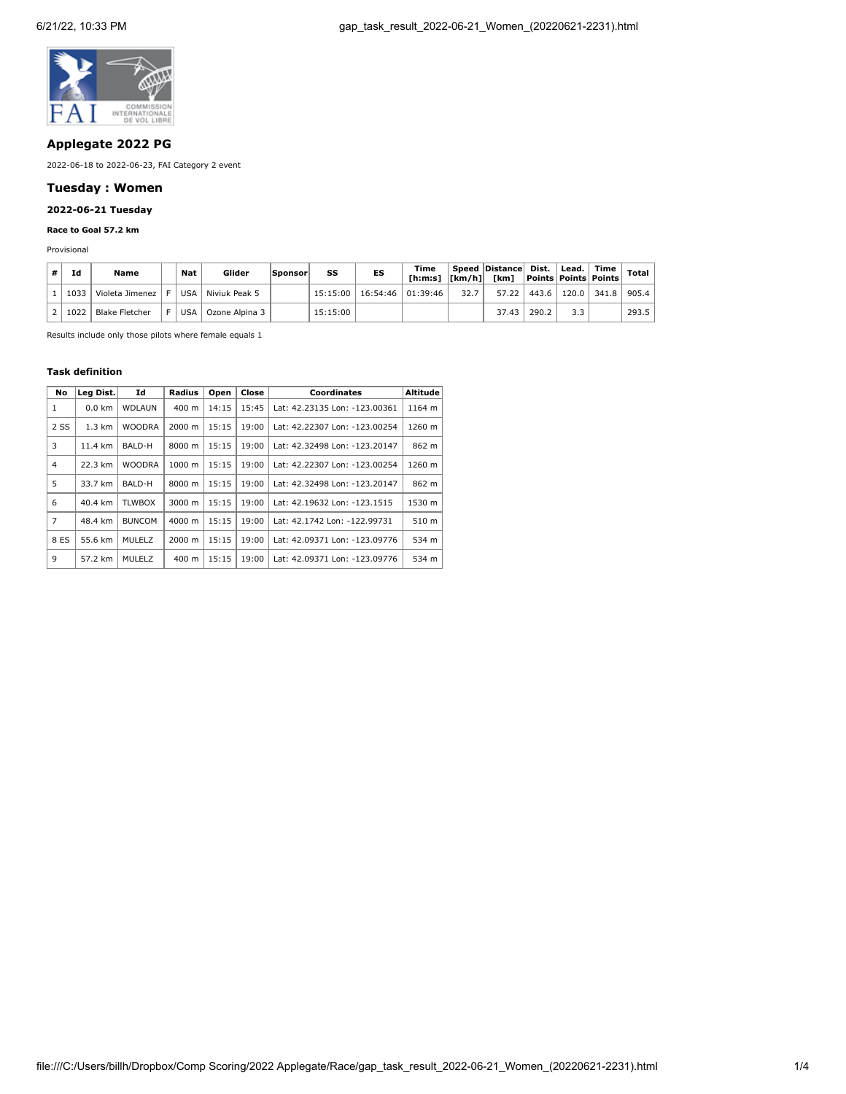

# **Applegate 2022 PG**

2022-06-18 to 2022-06-23, FAI Category 2 event

## **Tuesday : Women**

# **2022-06-21 Tuesday**

## **Race to Goal 57.2 km**

Provisional

| # | Ιd   | Name            | Nat | Glider         | Sponsor | SS       | ES                  | Time |      | Speed Distance Dist.   Lead.   Time<br>[h:m:s]  [km/h] [km]  Points   Points   Points |       |                       |       | <b>Total</b> |
|---|------|-----------------|-----|----------------|---------|----------|---------------------|------|------|---------------------------------------------------------------------------------------|-------|-----------------------|-------|--------------|
|   | 1033 | Violeta Jimenez | USA | Niviuk Peak 5  |         | 15:15:00 | $16:54:46$ 01:39:46 |      | 32.7 |                                                                                       |       | 57.22   443.6   120.0 | 341.8 | 905.4        |
|   | 1022 | Blake Fletcher  | USA | Ozone Alpina 3 |         | 15:15:00 |                     |      |      | 37.43                                                                                 | 290.2 | 3.3                   |       | 293.5        |

Results include only those pilots where female equals 1

#### **Task definition**

| No   | Leg Dist.        | Id            | Radius             | Open  | Close | <b>Coordinates</b>            | Altitude |
|------|------------------|---------------|--------------------|-------|-------|-------------------------------|----------|
| 1    | $0.0$ km         | WDLAUN        | 400 m              | 14:15 | 15:45 | Lat: 42.23135 Lon: -123.00361 | 1164 m   |
| 2 SS | $1.3 \text{ km}$ | <b>WOODRA</b> | 2000 m             | 15:15 | 19:00 | Lat: 42.22307 Lon: -123.00254 | 1260 m   |
| 3    | 11.4 km          | BALD-H        | 8000 m             | 15:15 | 19:00 | Lat: 42.32498 Lon: -123.20147 | 862 m    |
| 4    | 22.3 km          | <b>WOODRA</b> | $1000 \; \text{m}$ | 15:15 | 19:00 | Lat: 42.22307 Lon: -123.00254 | 1260 m   |
| 5    | 33.7 km          | BALD-H        | 8000 m             | 15:15 | 19:00 | Lat: 42.32498 Lon: -123.20147 | 862 m    |
| 6    | 40.4 km          | <b>TLWBOX</b> | 3000 m             | 15:15 | 19:00 | Lat: 42.19632 Lon: -123.1515  | 1530 m   |
| 7    | 48.4 km          | <b>BUNCOM</b> | $4000 \; \text{m}$ | 15:15 | 19:00 | Lat: 42.1742 Lon: -122.99731  | 510 m    |
| 8 ES | 55.6 km          | MULELZ        | 2000 m             | 15:15 | 19:00 | Lat: 42.09371 Lon: -123.09776 | 534 m    |
| 9    | 57.2 km          | MULELZ        | 400 m              | 15:15 | 19:00 | Lat: 42.09371 Lon: -123.09776 | 534 m    |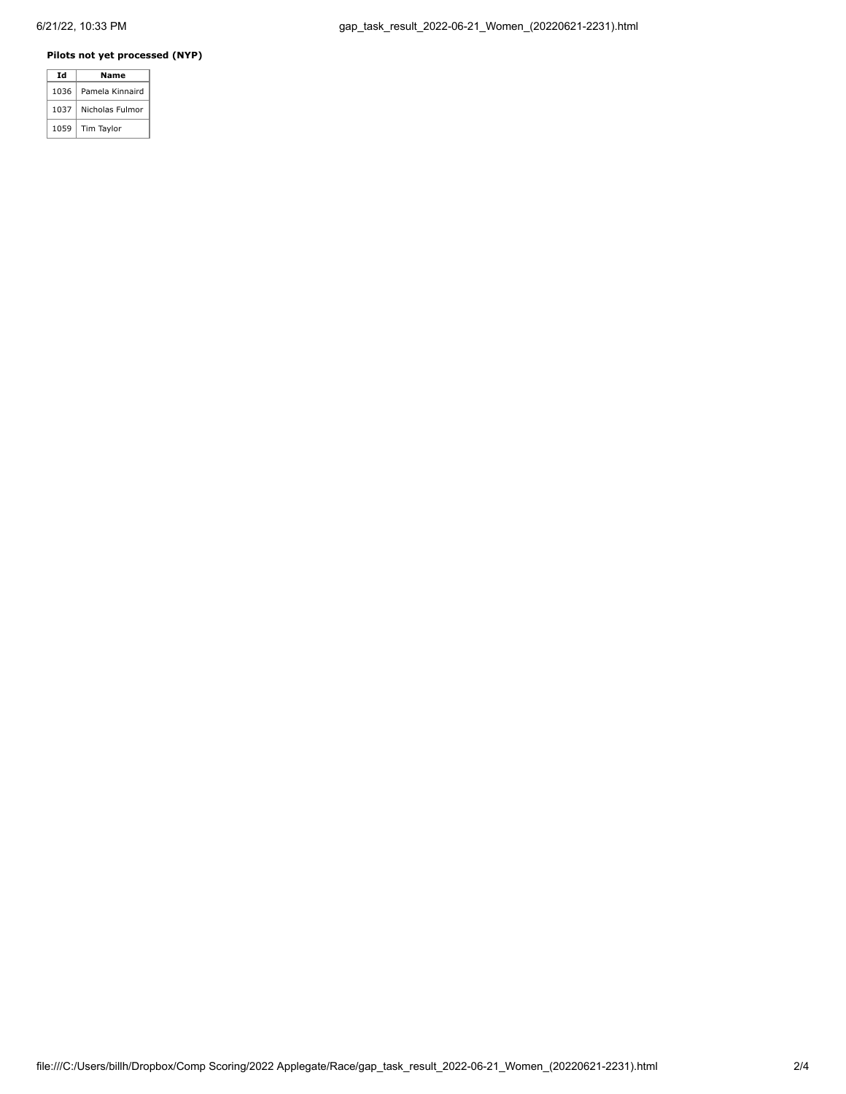### **Pilots not yet processed (NYP)**

| Ιd   | Name            |
|------|-----------------|
| 1036 | Pamela Kinnaird |
| 1037 | Nicholas Fulmor |
| 1059 | Tim Taylor      |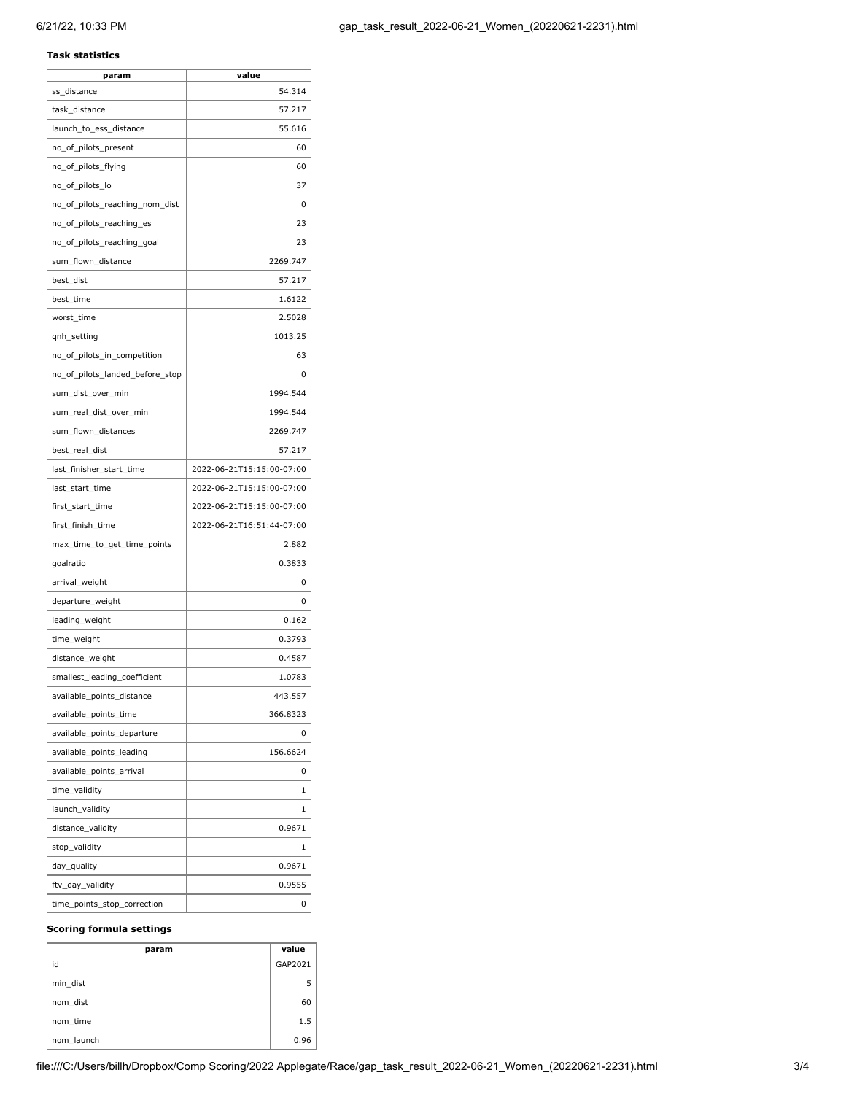### **Task statistics**

| param                           | value                     |
|---------------------------------|---------------------------|
| ss_distance                     | 54.314                    |
| task_distance                   | 57.217                    |
| launch_to_ess_distance          | 55.616                    |
| no_of_pilots_present            | 60                        |
| no_of_pilots_flying             | 60                        |
| no_of_pilots_lo                 | 37                        |
| no_of_pilots_reaching_nom_dist  | 0                         |
| no_of_pilots_reaching_es        | 23                        |
| no_of_pilots_reaching_goal      | 23                        |
| sum_flown_distance              | 2269.747                  |
| best_dist                       | 57.217                    |
| best_time                       | 1.6122                    |
| worst_time                      | 2.5028                    |
| qnh_setting                     | 1013.25                   |
| no_of_pilots_in_competition     | 63                        |
| no_of_pilots_landed_before_stop | 0                         |
| sum_dist_over_min               | 1994.544                  |
| sum_real_dist_over_min          | 1994.544                  |
| sum_flown_distances             | 2269.747                  |
| best_real_dist                  | 57.217                    |
| last_finisher_start_time        | 2022-06-21T15:15:00-07:00 |
| last_start_time                 | 2022-06-21T15:15:00-07:00 |
| first_start_time                | 2022-06-21T15:15:00-07:00 |
| first_finish_time               | 2022-06-21T16:51:44-07:00 |
| max_time_to_get_time_points     | 2.882                     |
| goalratio                       | 0.3833                    |
| arrival_weight                  | 0                         |
| departure_weight                | 0                         |
| leading_weight                  | 0.162                     |
| time_weight                     | 0.3793                    |
| distance_weight                 | 0.4587                    |
| smallest_leading_coefficient    | 1.0783                    |
| available_points_distance       | 443.557                   |
|                                 |                           |
| available_points_time           | 366.8323                  |
| available_points_departure      | 0                         |
| available_points_leading        | 156.6624                  |
| available_points_arrival        | 0                         |
| time_validity                   | 1                         |
| launch_validity                 | 1                         |
| distance_validity               | 0.9671                    |
| stop_validity                   | 1                         |
| day_quality                     | 0.9671                    |
| ftv_day_validity                | 0.9555                    |

#### **Scoring formula settings**

| param      | value   |
|------------|---------|
| id         | GAP2021 |
| min dist   |         |
| nom dist   | 60      |
| nom time   | 1.5     |
| nom launch | 0.96    |